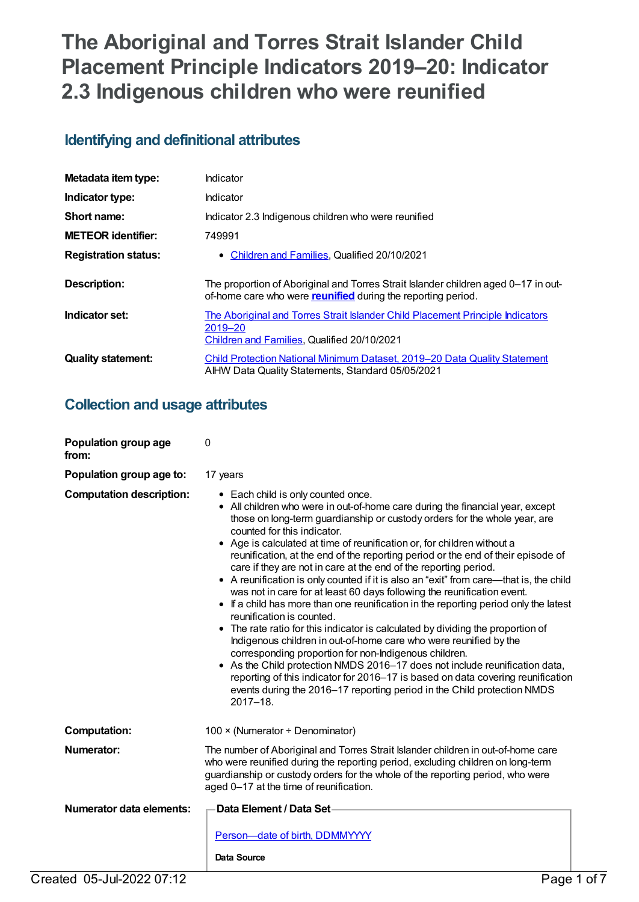# **The Aboriginal and Torres Strait Islander Child Placement Principle Indicators 2019–20: Indicator 2.3 Indigenous children who were reunified**

## **Identifying and definitional attributes**

| Metadata item type:         | Indicator                                                                                                                                                 |
|-----------------------------|-----------------------------------------------------------------------------------------------------------------------------------------------------------|
| Indicator type:             | Indicator                                                                                                                                                 |
| Short name:                 | Indicator 2.3 Indigenous children who were reunified                                                                                                      |
| <b>METEOR identifier:</b>   | 749991                                                                                                                                                    |
| <b>Registration status:</b> | • Children and Families, Qualified 20/10/2021                                                                                                             |
| Description:                | The proportion of Aboriginal and Torres Strait Islander children aged 0-17 in out-<br>of-home care who were <b>reunified</b> during the reporting period. |
| Indicator set:              | The Aboriginal and Torres Strait Islander Child Placement Principle Indicators<br>2019-20<br>Children and Families, Qualified 20/10/2021                  |
| <b>Quality statement:</b>   | Child Protection National Minimum Dataset. 2019–20 Data Quality Statement<br>AIHW Data Quality Statements, Standard 05/05/2021                            |

## **Collection and usage attributes**

| Population group age<br>from:   | 0                                                                                                                                                                                                                                                                                                                                                                                                                                                                                                                                                                                                                                                                                                                                                                                                                                                                                                                                                                                                                                                                                                                                                                                                                                          |  |
|---------------------------------|--------------------------------------------------------------------------------------------------------------------------------------------------------------------------------------------------------------------------------------------------------------------------------------------------------------------------------------------------------------------------------------------------------------------------------------------------------------------------------------------------------------------------------------------------------------------------------------------------------------------------------------------------------------------------------------------------------------------------------------------------------------------------------------------------------------------------------------------------------------------------------------------------------------------------------------------------------------------------------------------------------------------------------------------------------------------------------------------------------------------------------------------------------------------------------------------------------------------------------------------|--|
| Population group age to:        | 17 years                                                                                                                                                                                                                                                                                                                                                                                                                                                                                                                                                                                                                                                                                                                                                                                                                                                                                                                                                                                                                                                                                                                                                                                                                                   |  |
| <b>Computation description:</b> | • Each child is only counted once.<br>• All children who were in out-of-home care during the financial year, except<br>those on long-term guardianship or custody orders for the whole year, are<br>counted for this indicator.<br>• Age is calculated at time of reunification or, for children without a<br>reunification, at the end of the reporting period or the end of their episode of<br>care if they are not in care at the end of the reporting period.<br>• A reunification is only counted if it is also an "exit" from care—that is, the child<br>was not in care for at least 60 days following the reunification event.<br>• If a child has more than one reunification in the reporting period only the latest<br>reunification is counted.<br>• The rate ratio for this indicator is calculated by dividing the proportion of<br>Indigenous children in out-of-home care who were reunified by the<br>corresponding proportion for non-Indigenous children.<br>• As the Child protection NMDS 2016-17 does not include reunification data,<br>reporting of this indicator for 2016-17 is based on data covering reunification<br>events during the 2016-17 reporting period in the Child protection NMDS<br>$2017 - 18.$ |  |
| <b>Computation:</b>             | 100 $\times$ (Numerator ÷ Denominator)                                                                                                                                                                                                                                                                                                                                                                                                                                                                                                                                                                                                                                                                                                                                                                                                                                                                                                                                                                                                                                                                                                                                                                                                     |  |
| Numerator:                      | The number of Aboriginal and Torres Strait Islander children in out-of-home care<br>who were reunified during the reporting period, excluding children on long-term<br>guardianship or custody orders for the whole of the reporting period, who were<br>aged 0-17 at the time of reunification.                                                                                                                                                                                                                                                                                                                                                                                                                                                                                                                                                                                                                                                                                                                                                                                                                                                                                                                                           |  |
| <b>Numerator data elements:</b> | Data Element / Data Set-                                                                                                                                                                                                                                                                                                                                                                                                                                                                                                                                                                                                                                                                                                                                                                                                                                                                                                                                                                                                                                                                                                                                                                                                                   |  |
|                                 | Person-date of birth, DDMMYYYY<br>Data Source                                                                                                                                                                                                                                                                                                                                                                                                                                                                                                                                                                                                                                                                                                                                                                                                                                                                                                                                                                                                                                                                                                                                                                                              |  |
| Created 05-Jul-2022 07:12       | Page 1 of 7                                                                                                                                                                                                                                                                                                                                                                                                                                                                                                                                                                                                                                                                                                                                                                                                                                                                                                                                                                                                                                                                                                                                                                                                                                |  |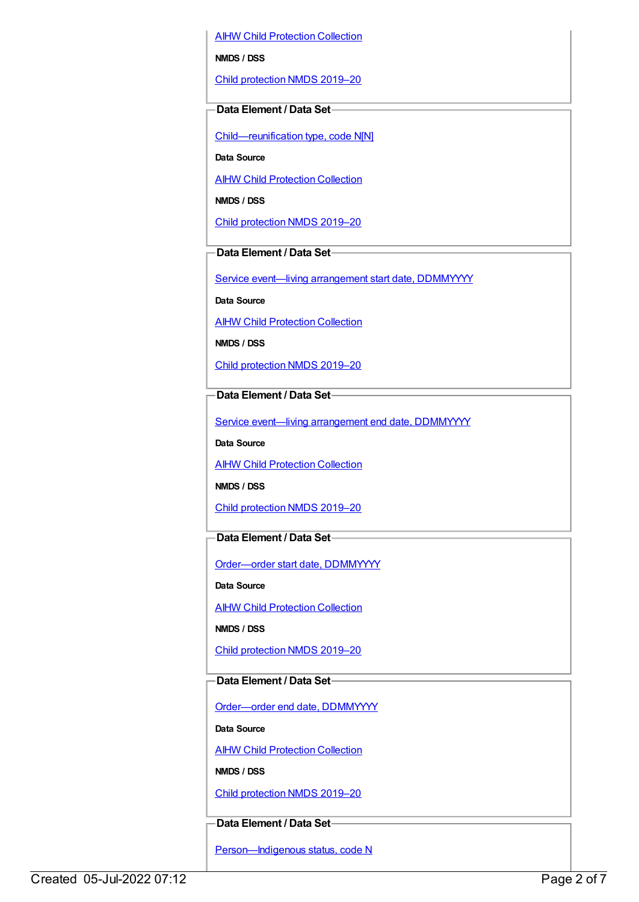AIHW Child [Protection](https://meteor.aihw.gov.au/content/489543) Collection

**NMDS / DSS**

Child [protection](https://meteor.aihw.gov.au/content/740158) NMDS 2019–20

#### **Data Element / Data Set**

[Child—reunification](https://meteor.aihw.gov.au/content/737464) type, code N[N]

**Data Source**

**AIHW Child [Protection](https://meteor.aihw.gov.au/content/489543) Collection** 

**NMDS / DSS**

Child [protection](https://meteor.aihw.gov.au/content/740158) NMDS 2019–20

### **Data Element / Data Set**

Service event-living [arrangement](https://meteor.aihw.gov.au/content/474217) start date, DDMMYYYY

**Data Source**

AIHW Child [Protection](https://meteor.aihw.gov.au/content/489543) Collection

**NMDS / DSS**

Child [protection](https://meteor.aihw.gov.au/content/740158) NMDS 2019–20

**Data Element / Data Set**

Service event—living [arrangement](https://meteor.aihw.gov.au/content/474223) end date, DDMMYYYY

**Data Source**

**AIHW Child [Protection](https://meteor.aihw.gov.au/content/489543) Collection** 

**NMDS / DSS**

Child [protection](https://meteor.aihw.gov.au/content/740158) NMDS 2019–20

### **Data Element / Data Set**

[Order—order](https://meteor.aihw.gov.au/content/536550) start date, DDMMYYYY

**Data Source**

**AIHW Child [Protection](https://meteor.aihw.gov.au/content/489543) Collection** 

**NMDS / DSS**

Child [protection](https://meteor.aihw.gov.au/content/740158) NMDS 2019–20

## **Data Element / Data Set**

[Order—order](https://meteor.aihw.gov.au/content/536554) end date, DDMMYYYY

**Data Source**

**AIHW Child [Protection](https://meteor.aihw.gov.au/content/489543) Collection** 

**NMDS / DSS**

Child [protection](https://meteor.aihw.gov.au/content/740158) NMDS 2019–20

## **Data Element / Data Set**

Person-Indigenous status, code N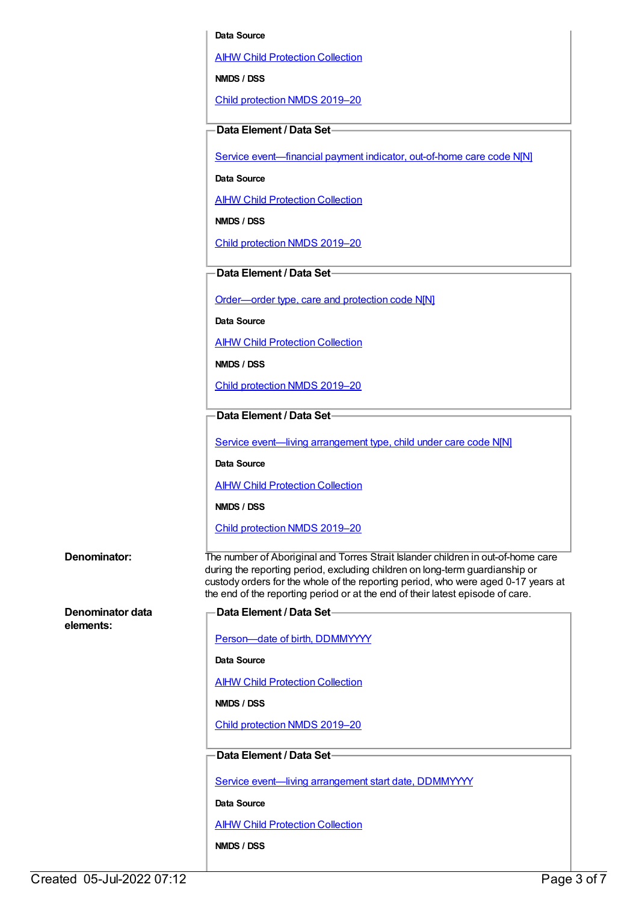#### **Data Source**

AIHW Child [Protection](https://meteor.aihw.gov.au/content/489543) Collection

**NMDS / DSS**

Child [protection](https://meteor.aihw.gov.au/content/740158) NMDS 2019–20

#### **Data Element / Data Set**

Service event-financial payment indicator, out-of-home care code N[N]

**Data Source**

AIHW Child [Protection](https://meteor.aihw.gov.au/content/489543) Collection

**NMDS / DSS**

Child [protection](https://meteor.aihw.gov.au/content/740158) NMDS 2019–20

#### **Data Element / Data Set**

[Order—order](https://meteor.aihw.gov.au/content/657300) type, care and protection code N[N]

**Data Source**

AIHW Child [Protection](https://meteor.aihw.gov.au/content/489543) Collection

**NMDS / DSS**

Child [protection](https://meteor.aihw.gov.au/content/740158) NMDS 2019–20

### **Data Element / Data Set**

Service event—living [arrangement](https://meteor.aihw.gov.au/content/689331) type, child under care code N[N]

**Data Source**

AIHW Child [Protection](https://meteor.aihw.gov.au/content/489543) Collection

**NMDS / DSS**

Child [protection](https://meteor.aihw.gov.au/content/740158) NMDS 2019–20

#### **Denominator:** The number of Aboriginal and Torres Strait Islander children in out-of-home care

**Denominator data**

**elements:**

during the reporting period, excluding children on long-term guardianship or custody orders for the whole of the reporting period, who were aged 0-17 years at the end of the reporting period or at the end of their latest episode of care. **Data Element / Data Set**

Person-date of birth, DDMMYYYY

**Data Source**

**AIHW Child [Protection](https://meteor.aihw.gov.au/content/489543) Collection** 

**NMDS / DSS**

Child [protection](https://meteor.aihw.gov.au/content/740158) NMDS 2019–20

## **Data Element / Data Set**

Service event-living [arrangement](https://meteor.aihw.gov.au/content/474217) start date, DDMMYYYY

**Data Source**

AIHW Child [Protection](https://meteor.aihw.gov.au/content/489543) Collection

**NMDS / DSS**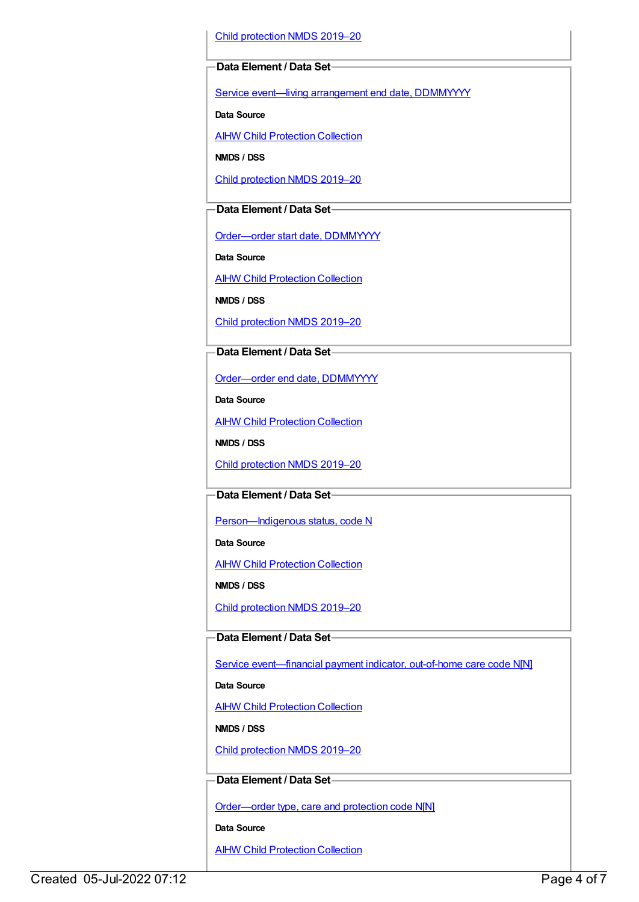Child [protection](https://meteor.aihw.gov.au/content/740158) NMDS 2019–20

#### **Data Element / Data Set**

Service event—living [arrangement](https://meteor.aihw.gov.au/content/474223) end date, DDMMYYYY

**Data Source**

**AIHW Child [Protection](https://meteor.aihw.gov.au/content/489543) Collection** 

**NMDS / DSS**

Child [protection](https://meteor.aihw.gov.au/content/740158) NMDS 2019–20

### **Data Element / Data Set**

[Order—order](https://meteor.aihw.gov.au/content/536550) start date, DDMMYYYY

**Data Source**

AIHW Child [Protection](https://meteor.aihw.gov.au/content/489543) Collection

**NMDS / DSS**

Child [protection](https://meteor.aihw.gov.au/content/740158) NMDS 2019–20

#### **Data Element / Data Set**

[Order—order](https://meteor.aihw.gov.au/content/536554) end date, DDMMYYYY

**Data Source**

AIHW Child [Protection](https://meteor.aihw.gov.au/content/489543) Collection

**NMDS / DSS**

Child [protection](https://meteor.aihw.gov.au/content/740158) NMDS 2019–20

### **Data Element / Data Set**

Person-Indigenous status, code N

**Data Source**

**AIHW Child [Protection](https://meteor.aihw.gov.au/content/489543) Collection** 

**NMDS / DSS**

Child [protection](https://meteor.aihw.gov.au/content/740158) NMDS 2019–20

#### **Data Element / Data Set**

Service [event—financial](https://meteor.aihw.gov.au/content/652697) payment indicator, out-of-home care code N[N]

### **Data Source**

AIHW Child [Protection](https://meteor.aihw.gov.au/content/489543) Collection

**NMDS / DSS**

Child [protection](https://meteor.aihw.gov.au/content/740158) NMDS 2019–20

### **Data Element / Data Set**

[Order—order](https://meteor.aihw.gov.au/content/657300) type, care and protection code N[N]

**Data Source**

**AIHW Child [Protection](https://meteor.aihw.gov.au/content/489543) Collection**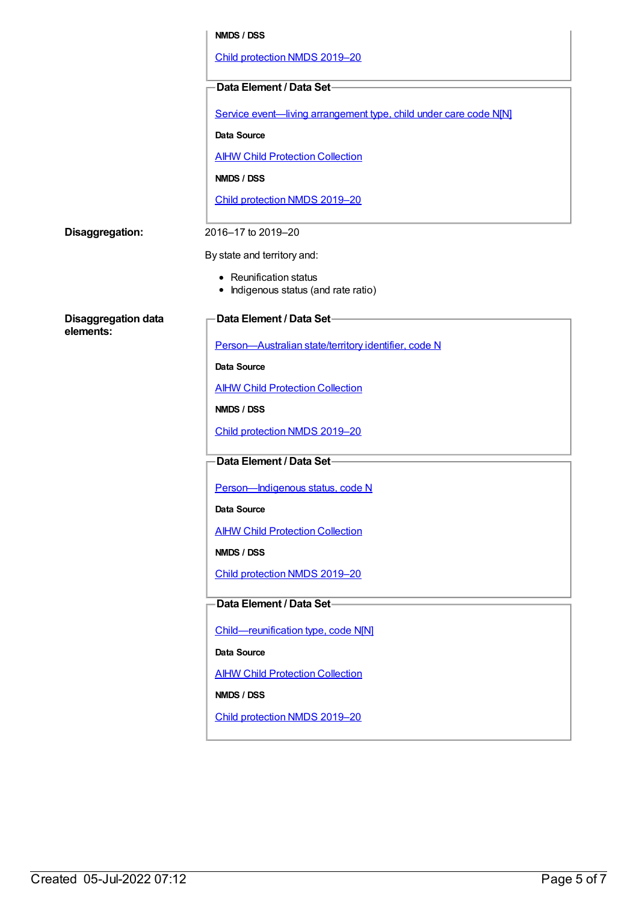|                            | NMDS / DSS                                                        |
|----------------------------|-------------------------------------------------------------------|
|                            | Child protection NMDS 2019-20                                     |
|                            | Data Element / Data Set-                                          |
|                            | Service event-living arrangement type, child under care code N[N] |
|                            | <b>Data Source</b>                                                |
|                            | <b>AIHW Child Protection Collection</b>                           |
|                            | <b>NMDS / DSS</b>                                                 |
|                            | Child protection NMDS 2019-20                                     |
| Disaggregation:            | 2016-17 to 2019-20                                                |
|                            | By state and territory and:                                       |
|                            | • Reunification status<br>Indigenous status (and rate ratio)      |
| <b>Disaggregation data</b> | Data Element / Data Set-                                          |
| elements:                  | Person-Australian state/territory identifier, code N              |
|                            | <b>Data Source</b>                                                |
|                            | <b>AIHW Child Protection Collection</b>                           |
|                            | NMDS / DSS                                                        |
|                            | Child protection NMDS 2019-20                                     |
|                            | Data Element / Data Set-                                          |
|                            | Person-Indigenous status, code N                                  |
|                            | Data Source                                                       |
|                            | <b>AIHW Child Protection Collection</b>                           |
|                            | NMDS / DSS                                                        |
|                            | Child protection NMDS 2019-20                                     |
|                            | Data Element / Data Set-                                          |
|                            | Child-reunification type, code N[N]                               |
|                            | <b>Data Source</b>                                                |
|                            | <b>AIHW Child Protection Collection</b>                           |
|                            | NMDS / DSS                                                        |
|                            | Child protection NMDS 2019-20                                     |
|                            |                                                                   |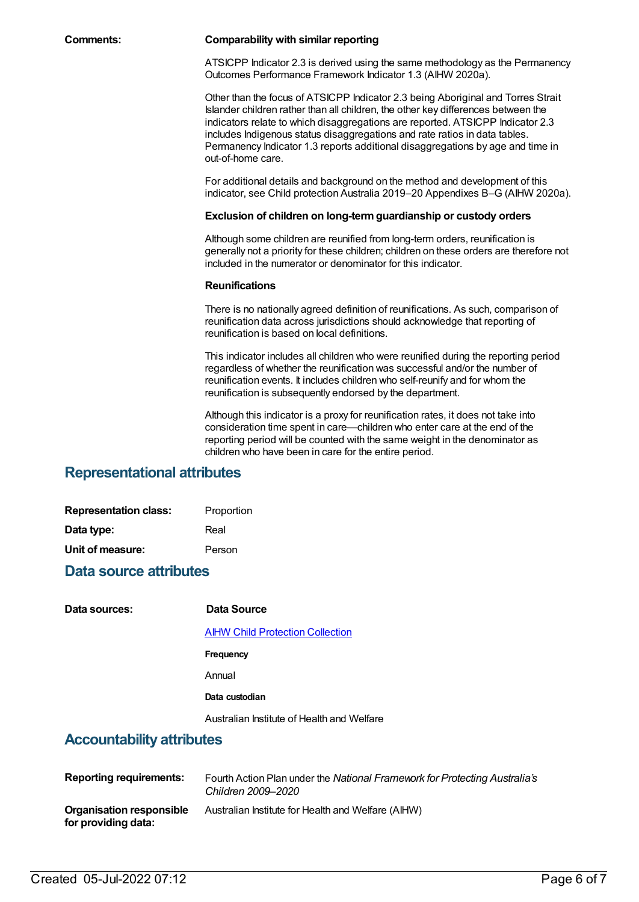#### **Comments: Comparability with similar reporting**

ATSICPP Indicator 2.3 is derived using the same methodology as the Permanency Outcomes Performance Framework Indicator 1.3 (AIHW 2020a).

Other than the focus of ATSICPP Indicator 2.3 being Aboriginal and Torres Strait Islander children rather than all children, the other key differences between the indicators relate to which disaggregations are reported. ATSICPP Indicator 2.3 includes Indigenous status disaggregations and rate ratios in data tables. Permanency Indicator 1.3 reports additional disaggregations by age and time in out-of-home care.

For additional details and background on the method and development of this indicator, see Child protection Australia 2019–20 Appendixes B–G (AIHW 2020a).

#### **Exclusion of children on long-termguardianship or custody orders**

Although some children are reunified from long-term orders, reunification is generally not a priority for these children; children on these orders are therefore not included in the numerator or denominator for this indicator.

#### **Reunifications**

There is no nationally agreed definition of reunifications. As such, comparison of reunification data across jurisdictions should acknowledge that reporting of reunification is based on local definitions.

This indicator includes all children who were reunified during the reporting period regardless of whether the reunification was successful and/or the number of reunification events. It includes children who self-reunify and for whom the reunification is subsequently endorsed by the department.

Although this indicator is a proxy for reunification rates, it does not take into consideration time spent in care—children who enter care at the end of the reporting period will be counted with the same weight in the denominator as children who have been in care for the entire period.

## **Representational attributes**

| <b>Representation class:</b> | Proportion |
|------------------------------|------------|
| Data type:                   | Real       |
| Unit of measure:             | Person     |

## **Data source attributes**

| Data sources:                    | Data Source                                |
|----------------------------------|--------------------------------------------|
|                                  | <b>AIHW Child Protection Collection</b>    |
|                                  | Frequency                                  |
|                                  | Annual                                     |
|                                  | Data custodian                             |
|                                  | Australian Institute of Health and Welfare |
| <b>Accountability attributes</b> |                                            |

#### **Reporting requirements:** Fourth Action Plan under the *National Framework for Protecting Australia's Children 2009–2020* **Organisation responsible for providing data:** Australian Institute for Health and Welfare (AIHW)